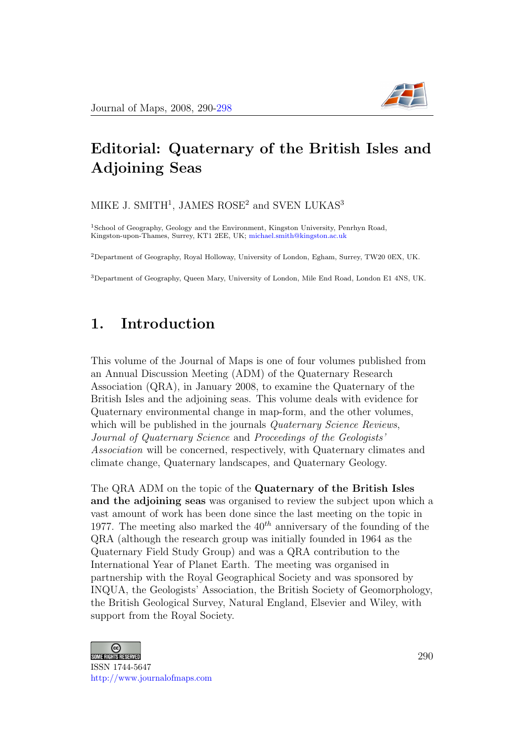

# Editorial: Quaternary of the British Isles and Adjoining Seas

MIKE J. SMITH<sup>1</sup>, JAMES ROSE<sup>2</sup> and SVEN LUKAS<sup>3</sup>

<sup>1</sup>School of Geography, Geology and the Environment, Kingston University, Penrhyn Road, Kingston-upon-Thames, Surrey, KT1 2EE, UK; [michael.smith@kingston.ac.uk](mailto:michael.smith@kingston.ac.uk)

<sup>2</sup>Department of Geography, Royal Holloway, University of London, Egham, Surrey, TW20 0EX, UK.

<sup>3</sup>Department of Geography, Queen Mary, University of London, Mile End Road, London E1 4NS, UK.

## 1. Introduction

This volume of the Journal of Maps is one of four volumes published from an Annual Discussion Meeting (ADM) of the Quaternary Research Association (QRA), in January 2008, to examine the Quaternary of the British Isles and the adjoining seas. This volume deals with evidence for Quaternary environmental change in map-form, and the other volumes, which will be published in the journals *Quaternary Science Reviews*, Journal of Quaternary Science and Proceedings of the Geologists' Association will be concerned, respectively, with Quaternary climates and climate change, Quaternary landscapes, and Quaternary Geology.

The QRA ADM on the topic of the Quaternary of the British Isles and the adjoining seas was organised to review the subject upon which a vast amount of work has been done since the last meeting on the topic in 1977. The meeting also marked the  $40^{th}$  anniversary of the founding of the QRA (although the research group was initially founded in 1964 as the Quaternary Field Study Group) and was a QRA contribution to the International Year of Planet Earth. The meeting was organised in partnership with the Royal Geographical Society and was sponsored by INQUA, the Geologists' Association, the British Society of Geomorphology, the British Geological Survey, Natural England, Elsevier and Wiley, with support from the Royal Society.



ISSN 1744-5647 <http://www.journalofmaps.com>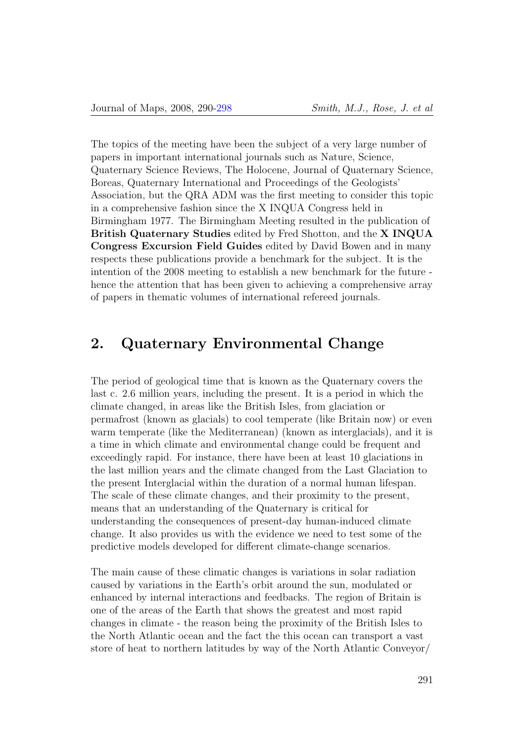The topics of the meeting have been the subject of a very large number of papers in important international journals such as Nature, Science, Quaternary Science Reviews, The Holocene, Journal of Quaternary Science, Boreas, Quaternary International and Proceedings of the Geologists' Association, but the QRA ADM was the first meeting to consider this topic in a comprehensive fashion since the X INQUA Congress held in Birmingham 1977. The Birmingham Meeting resulted in the publication of British Quaternary Studies edited by Fred Shotton, and the X INQUA Congress Excursion Field Guides edited by David Bowen and in many respects these publications provide a benchmark for the subject. It is the intention of the 2008 meeting to establish a new benchmark for the future hence the attention that has been given to achieving a comprehensive array of papers in thematic volumes of international refereed journals.

## 2. Quaternary Environmental Change

The period of geological time that is known as the Quaternary covers the last c. 2.6 million years, including the present. It is a period in which the climate changed, in areas like the British Isles, from glaciation or permafrost (known as glacials) to cool temperate (like Britain now) or even warm temperate (like the Mediterranean) (known as interglacials), and it is a time in which climate and environmental change could be frequent and exceedingly rapid. For instance, there have been at least 10 glaciations in the last million years and the climate changed from the Last Glaciation to the present Interglacial within the duration of a normal human lifespan. The scale of these climate changes, and their proximity to the present, means that an understanding of the Quaternary is critical for understanding the consequences of present-day human-induced climate change. It also provides us with the evidence we need to test some of the predictive models developed for different climate-change scenarios.

The main cause of these climatic changes is variations in solar radiation caused by variations in the Earth's orbit around the sun, modulated or enhanced by internal interactions and feedbacks. The region of Britain is one of the areas of the Earth that shows the greatest and most rapid changes in climate - the reason being the proximity of the British Isles to the North Atlantic ocean and the fact the this ocean can transport a vast store of heat to northern latitudes by way of the North Atlantic Conveyor/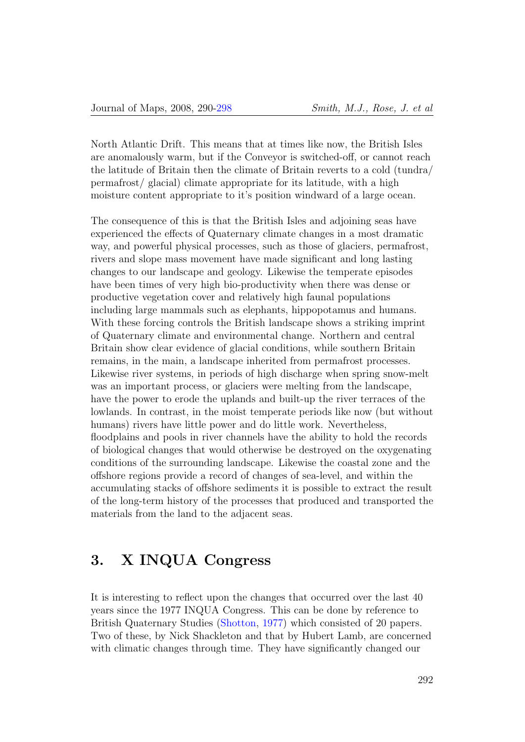North Atlantic Drift. This means that at times like now, the British Isles are anomalously warm, but if the Conveyor is switched-off, or cannot reach the latitude of Britain then the climate of Britain reverts to a cold (tundra/ permafrost/ glacial) climate appropriate for its latitude, with a high moisture content appropriate to it's position windward of a large ocean.

The consequence of this is that the British Isles and adjoining seas have experienced the effects of Quaternary climate changes in a most dramatic way, and powerful physical processes, such as those of glaciers, permafrost, rivers and slope mass movement have made significant and long lasting changes to our landscape and geology. Likewise the temperate episodes have been times of very high bio-productivity when there was dense or productive vegetation cover and relatively high faunal populations including large mammals such as elephants, hippopotamus and humans. With these forcing controls the British landscape shows a striking imprint of Quaternary climate and environmental change. Northern and central Britain show clear evidence of glacial conditions, while southern Britain remains, in the main, a landscape inherited from permafrost processes. Likewise river systems, in periods of high discharge when spring snow-melt was an important process, or glaciers were melting from the landscape, have the power to erode the uplands and built-up the river terraces of the lowlands. In contrast, in the moist temperate periods like now (but without humans) rivers have little power and do little work. Nevertheless, floodplains and pools in river channels have the ability to hold the records of biological changes that would otherwise be destroyed on the oxygenating conditions of the surrounding landscape. Likewise the coastal zone and the offshore regions provide a record of changes of sea-level, and within the accumulating stacks of offshore sediments it is possible to extract the result of the long-term history of the processes that produced and transported the materials from the land to the adjacent seas.

## 3. X INQUA Congress

It is interesting to reflect upon the changes that occurred over the last 40 years since the 1977 INQUA Congress. This can be done by reference to British Quaternary Studies [\(Shotton,](#page-8-1) [1977\)](#page-8-1) which consisted of 20 papers. Two of these, by Nick Shackleton and that by Hubert Lamb, are concerned with climatic changes through time. They have significantly changed our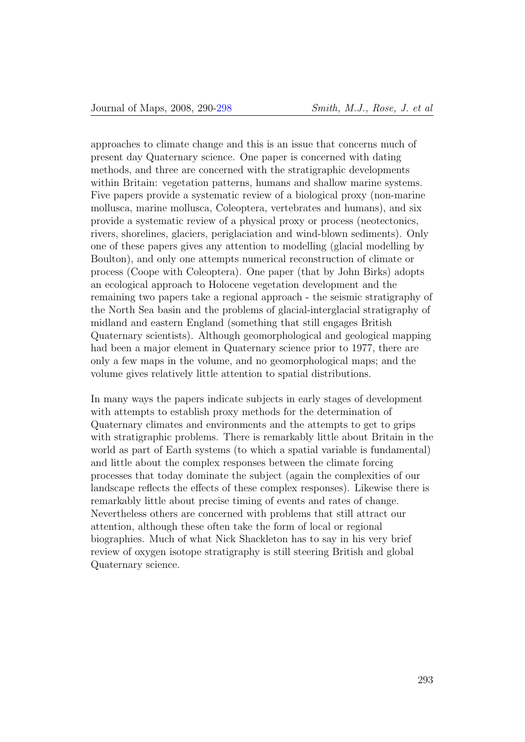approaches to climate change and this is an issue that concerns much of present day Quaternary science. One paper is concerned with dating methods, and three are concerned with the stratigraphic developments within Britain: vegetation patterns, humans and shallow marine systems. Five papers provide a systematic review of a biological proxy (non-marine mollusca, marine mollusca, Coleoptera, vertebrates and humans), and six provide a systematic review of a physical proxy or process (neotectonics, rivers, shorelines, glaciers, periglaciation and wind-blown sediments). Only one of these papers gives any attention to modelling (glacial modelling by Boulton), and only one attempts numerical reconstruction of climate or process (Coope with Coleoptera). One paper (that by John Birks) adopts an ecological approach to Holocene vegetation development and the remaining two papers take a regional approach - the seismic stratigraphy of the North Sea basin and the problems of glacial-interglacial stratigraphy of midland and eastern England (something that still engages British Quaternary scientists). Although geomorphological and geological mapping had been a major element in Quaternary science prior to 1977, there are only a few maps in the volume, and no geomorphological maps; and the volume gives relatively little attention to spatial distributions.

In many ways the papers indicate subjects in early stages of development with attempts to establish proxy methods for the determination of Quaternary climates and environments and the attempts to get to grips with stratigraphic problems. There is remarkably little about Britain in the world as part of Earth systems (to which a spatial variable is fundamental) and little about the complex responses between the climate forcing processes that today dominate the subject (again the complexities of our landscape reflects the effects of these complex responses). Likewise there is remarkably little about precise timing of events and rates of change. Nevertheless others are concerned with problems that still attract our attention, although these often take the form of local or regional biographies. Much of what Nick Shackleton has to say in his very brief review of oxygen isotope stratigraphy is still steering British and global Quaternary science.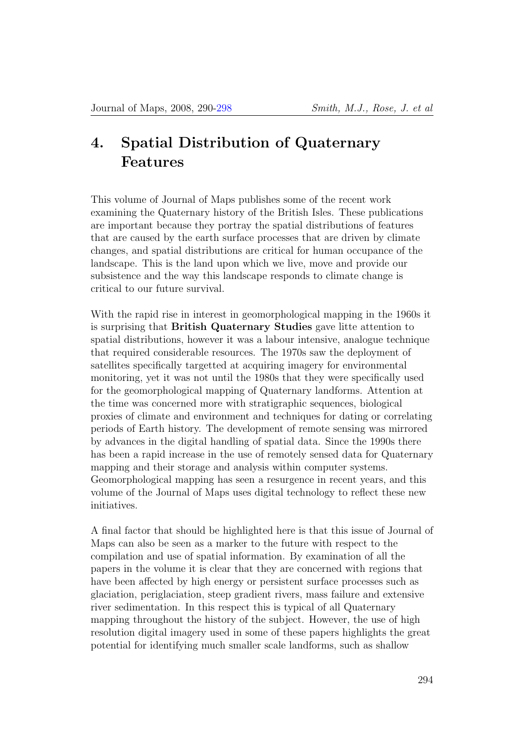## 4. Spatial Distribution of Quaternary Features

This volume of Journal of Maps publishes some of the recent work examining the Quaternary history of the British Isles. These publications are important because they portray the spatial distributions of features that are caused by the earth surface processes that are driven by climate changes, and spatial distributions are critical for human occupance of the landscape. This is the land upon which we live, move and provide our subsistence and the way this landscape responds to climate change is critical to our future survival.

With the rapid rise in interest in geomorphological mapping in the 1960s it is surprising that British Quaternary Studies gave litte attention to spatial distributions, however it was a labour intensive, analogue technique that required considerable resources. The 1970s saw the deployment of satellites specifically targetted at acquiring imagery for environmental monitoring, yet it was not until the 1980s that they were specifically used for the geomorphological mapping of Quaternary landforms. Attention at the time was concerned more with stratigraphic sequences, biological proxies of climate and environment and techniques for dating or correlating periods of Earth history. The development of remote sensing was mirrored by advances in the digital handling of spatial data. Since the 1990s there has been a rapid increase in the use of remotely sensed data for Quaternary mapping and their storage and analysis within computer systems. Geomorphological mapping has seen a resurgence in recent years, and this volume of the Journal of Maps uses digital technology to reflect these new initiatives.

A final factor that should be highlighted here is that this issue of Journal of Maps can also be seen as a marker to the future with respect to the compilation and use of spatial information. By examination of all the papers in the volume it is clear that they are concerned with regions that have been affected by high energy or persistent surface processes such as glaciation, periglaciation, steep gradient rivers, mass failure and extensive river sedimentation. In this respect this is typical of all Quaternary mapping throughout the history of the subject. However, the use of high resolution digital imagery used in some of these papers highlights the great potential for identifying much smaller scale landforms, such as shallow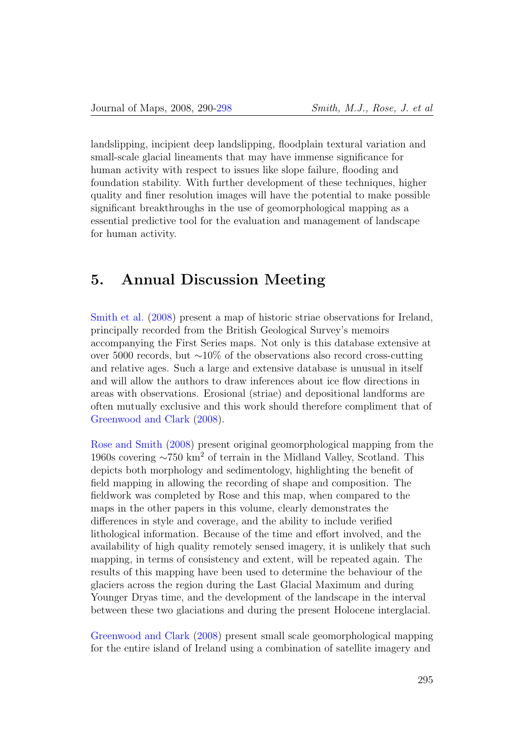landslipping, incipient deep landslipping, floodplain textural variation and small-scale glacial lineaments that may have immense significance for human activity with respect to issues like slope failure, flooding and foundation stability. With further development of these techniques, higher quality and finer resolution images will have the potential to make possible significant breakthroughs in the use of geomorphological mapping as a essential predictive tool for the evaluation and management of landscape for human activity.

### 5. Annual Discussion Meeting

[Smith et al.](#page-8-2) [\(2008\)](#page-8-2) present a map of historic striae observations for Ireland, principally recorded from the British Geological Survey's memoirs accompanying the First Series maps. Not only is this database extensive at over 5000 records, but ∼10% of the observations also record cross-cutting and relative ages. Such a large and extensive database is unusual in itself and will allow the authors to draw inferences about ice flow directions in areas with observations. Erosional (striae) and depositional landforms are often mutually exclusive and this work should therefore compliment that of [Greenwood and Clark](#page-7-0) [\(2008\)](#page-7-0).

[Rose and Smith](#page-8-3) [\(2008\)](#page-8-3) present original geomorphological mapping from the 1960s covering ∼750 km<sup>2</sup> of terrain in the Midland Valley, Scotland. This depicts both morphology and sedimentology, highlighting the benefit of field mapping in allowing the recording of shape and composition. The fieldwork was completed by Rose and this map, when compared to the maps in the other papers in this volume, clearly demonstrates the differences in style and coverage, and the ability to include verified lithological information. Because of the time and effort involved, and the availability of high quality remotely sensed imagery, it is unlikely that such mapping, in terms of consistency and extent, will be repeated again. The results of this mapping have been used to determine the behaviour of the glaciers across the region during the Last Glacial Maximum and during Younger Dryas time, and the development of the landscape in the interval between these two glaciations and during the present Holocene interglacial.

[Greenwood and Clark](#page-7-0) [\(2008\)](#page-7-0) present small scale geomorphological mapping for the entire island of Ireland using a combination of satellite imagery and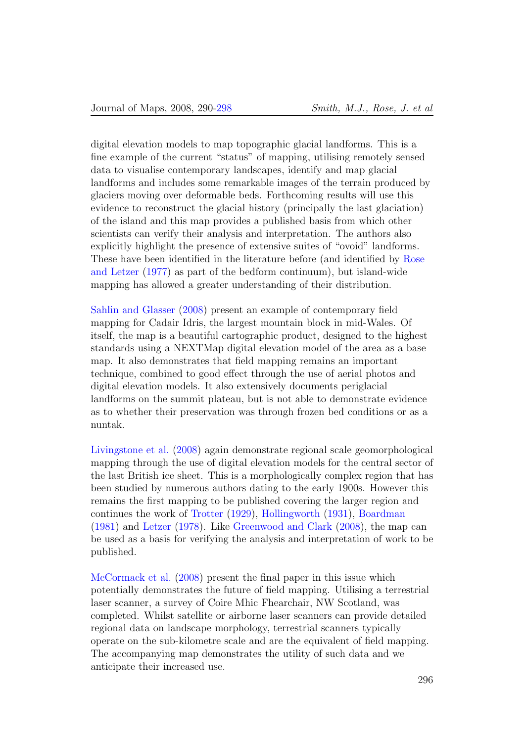digital elevation models to map topographic glacial landforms. This is a fine example of the current "status" of mapping, utilising remotely sensed data to visualise contemporary landscapes, identify and map glacial landforms and includes some remarkable images of the terrain produced by glaciers moving over deformable beds. Forthcoming results will use this evidence to reconstruct the glacial history (principally the last glaciation) of the island and this map provides a published basis from which other scientists can verify their analysis and interpretation. The authors also explicitly highlight the presence of extensive suites of "ovoid" landforms. These have been identified in the literature before (and identified by [Rose](#page-8-4) [and Letzer](#page-8-4) [\(1977\)](#page-8-4) as part of the bedform continuum), but island-wide mapping has allowed a greater understanding of their distribution.

[Sahlin and Glasser](#page-8-5) [\(2008\)](#page-8-5) present an example of contemporary field mapping for Cadair Idris, the largest mountain block in mid-Wales. Of itself, the map is a beautiful cartographic product, designed to the highest standards using a NEXTMap digital elevation model of the area as a base map. It also demonstrates that field mapping remains an important technique, combined to good effect through the use of aerial photos and digital elevation models. It also extensively documents periglacial landforms on the summit plateau, but is not able to demonstrate evidence as to whether their preservation was through frozen bed conditions or as a nuntak.

[Livingstone et al.](#page-7-1) [\(2008\)](#page-7-1) again demonstrate regional scale geomorphological mapping through the use of digital elevation models for the central sector of the last British ice sheet. This is a morphologically complex region that has been studied by numerous authors dating to the early 1900s. However this remains the first mapping to be published covering the larger region and continues the work of [Trotter](#page-8-6) [\(1929\)](#page-8-6), [Hollingworth](#page-7-2) [\(1931\)](#page-7-2), [Boardman](#page-7-3) [\(1981\)](#page-7-3) and [Letzer](#page-7-4) [\(1978\)](#page-7-4). Like [Greenwood and Clark](#page-7-0) [\(2008\)](#page-7-0), the map can be used as a basis for verifying the analysis and interpretation of work to be published.

[McCormack et al.](#page-7-5) [\(2008\)](#page-7-5) present the final paper in this issue which potentially demonstrates the future of field mapping. Utilising a terrestrial laser scanner, a survey of Coire Mhic Fhearchair, NW Scotland, was completed. Whilst satellite or airborne laser scanners can provide detailed regional data on landscape morphology, terrestrial scanners typically operate on the sub-kilometre scale and are the equivalent of field mapping. The accompanying map demonstrates the utility of such data and we anticipate their increased use.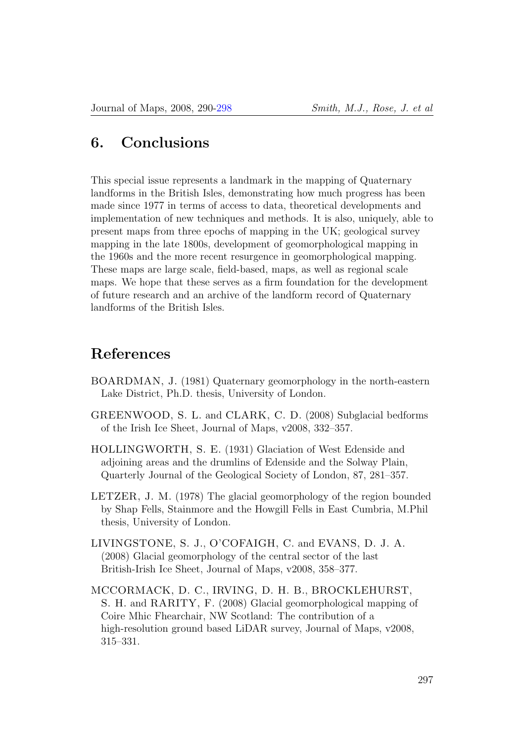#### 6. Conclusions

This special issue represents a landmark in the mapping of Quaternary landforms in the British Isles, demonstrating how much progress has been made since 1977 in terms of access to data, theoretical developments and implementation of new techniques and methods. It is also, uniquely, able to present maps from three epochs of mapping in the UK; geological survey mapping in the late 1800s, development of geomorphological mapping in the 1960s and the more recent resurgence in geomorphological mapping. These maps are large scale, field-based, maps, as well as regional scale maps. We hope that these serves as a firm foundation for the development of future research and an archive of the landform record of Quaternary landforms of the British Isles.

## References

- <span id="page-7-3"></span>BOARDMAN, J. (1981) Quaternary geomorphology in the north-eastern Lake District, Ph.D. thesis, University of London.
- <span id="page-7-0"></span>GREENWOOD, S. L. and CLARK, C. D. (2008) Subglacial bedforms of the Irish Ice Sheet, Journal of Maps, v2008, 332–357.
- <span id="page-7-2"></span>HOLLINGWORTH, S. E. (1931) Glaciation of West Edenside and adjoining areas and the drumlins of Edenside and the Solway Plain, Quarterly Journal of the Geological Society of London, 87, 281–357.
- <span id="page-7-4"></span>LETZER, J. M. (1978) The glacial geomorphology of the region bounded by Shap Fells, Stainmore and the Howgill Fells in East Cumbria, M.Phil thesis, University of London.
- <span id="page-7-1"></span>LIVINGSTONE, S. J., O'COFAIGH, C. and EVANS, D. J. A. (2008) Glacial geomorphology of the central sector of the last British-Irish Ice Sheet, Journal of Maps, v2008, 358–377.
- <span id="page-7-5"></span>MCCORMACK, D. C., IRVING, D. H. B., BROCKLEHURST, S. H. and RARITY, F. (2008) Glacial geomorphological mapping of Coire Mhic Fhearchair, NW Scotland: The contribution of a high-resolution ground based LiDAR survey, Journal of Maps, v2008, 315–331.